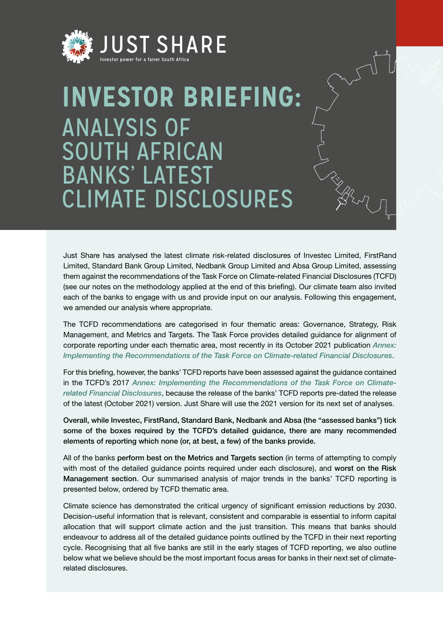

# **INVESTOR BRIEFING:** ANALYSIS OF SOUTH AFRICAN BANKS' LATEST CLIMATE DISCLOSURES

Just Share has analysed the latest climate risk-related disclosures of Investec Limited, FirstRand Limited, Standard Bank Group Limited, Nedbank Group Limited and Absa Group Limited, assessing them against the recommendations of the Task Force on Climate-related Financial Disclosures (TCFD) (see our notes on the methodology applied at the end of this briefing). Our climate team also invited each of the banks to engage with us and provide input on our analysis. Following this engagement, we amended our analysis where appropriate.

The TCFD recommendations are categorised in four thematic areas: Governance, Strategy, Risk Management, and Metrics and Targets. The Task Force provides detailed guidance for alignment of corporate reporting under each thematic area, most recently in its October 2021 publication *Annex: [Implementing the Recommendations of the Task Force on Climate-related Financial Disclosures](https://assets.bbhub.io/company/sites/60/2021/07/2021-TCFD-Implementing_Guidance.pdf)*.

For this briefing, however, the banks' TCFD reports have been assessed against the guidance contained in the TCFD's 2017 *Annex: [Implementing the Recommendations of the Task Force on Climate](https://assets.bbhub.io/company/sites/60/2020/10/FINAL-TCFD-Annex-Amended-121517.pdf)[related Financial Disclosures](https://assets.bbhub.io/company/sites/60/2020/10/FINAL-TCFD-Annex-Amended-121517.pdf)*, because the release of the banks' TCFD reports pre-dated the release of the latest (October 2021) version. Just Share will use the 2021 version for its next set of analyses.

Overall, while Investec, FirstRand, Standard Bank, Nedbank and Absa (the "assessed banks") tick some of the boxes required by the TCFD's detailed guidance, there are many recommended elements of reporting which none (or, at best, a few) of the banks provide.

All of the banks perform best on the Metrics and Targets section (in terms of attempting to comply with most of the detailed guidance points required under each disclosure), and worst on the Risk Management section. Our summarised analysis of major trends in the banks' TCFD reporting is presented below, ordered by TCFD thematic area.

Climate science has demonstrated the critical urgency of significant emission reductions by 2030. Decision-useful information that is relevant, consistent and comparable is essential to inform capital allocation that will support climate action and the just transition. This means that banks should endeavour to address all of the detailed guidance points outlined by the TCFD in their next reporting cycle. Recognising that all five banks are still in the early stages of TCFD reporting, we also outline below what we believe should be the most important focus areas for banks in their next set of climaterelated disclosures.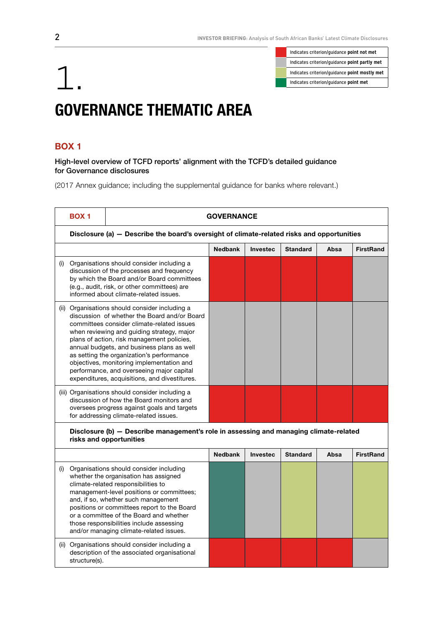Indicates criterion/guidance **point not met** Indicates criterion/guidance **point partly met**

# Indicates criterion/guidance point mostly met<br>Indicates criterion/guidance point mostly met<br>Indicates criterion/guidance point met GOVERNANCE THEMATIC AREA

## BOX 1

High-level overview of TCFD reports' alignment with the TCFD's detailed guidance for Governance disclosures

|     | <b>BOX 1</b> | <b>GOVERNANCE</b>                                                                                                                                                                                                                                                                                                                                                                                                                                                              |                |                 |                 |      |                  |  |
|-----|--------------|--------------------------------------------------------------------------------------------------------------------------------------------------------------------------------------------------------------------------------------------------------------------------------------------------------------------------------------------------------------------------------------------------------------------------------------------------------------------------------|----------------|-----------------|-----------------|------|------------------|--|
|     |              | Disclosure (a) - Describe the board's oversight of climate-related risks and opportunities                                                                                                                                                                                                                                                                                                                                                                                     |                |                 |                 |      |                  |  |
|     |              |                                                                                                                                                                                                                                                                                                                                                                                                                                                                                | <b>Nedbank</b> | <b>Investec</b> | <b>Standard</b> | Absa | <b>FirstRand</b> |  |
| (i) |              | Organisations should consider including a<br>discussion of the processes and frequency<br>by which the Board and/or Board committees<br>(e.g., audit, risk, or other committees) are<br>informed about climate-related issues.                                                                                                                                                                                                                                                 |                |                 |                 |      |                  |  |
|     |              | (ii) Organisations should consider including a<br>discussion of whether the Board and/or Board<br>committees consider climate-related issues<br>when reviewing and guiding strategy, major<br>plans of action, risk management policies,<br>annual budgets, and business plans as well<br>as setting the organization's performance<br>objectives, monitoring implementation and<br>performance, and overseeing major capital<br>expenditures, acquisitions, and divestitures. |                |                 |                 |      |                  |  |
|     |              | (iii) Organisations should consider including a<br>discussion of how the Board monitors and<br>oversees progress against goals and targets<br>for addressing climate-related issues.                                                                                                                                                                                                                                                                                           |                |                 |                 |      |                  |  |
|     |              | Disclosure (b) - Describe management's role in assessing and managing climate-related<br>risks and opportunities                                                                                                                                                                                                                                                                                                                                                               |                |                 |                 |      |                  |  |
|     |              |                                                                                                                                                                                                                                                                                                                                                                                                                                                                                | <b>Nedbank</b> | <b>Investec</b> | <b>Standard</b> | Absa | <b>FirstRand</b> |  |

|   | Organisations should consider including<br>whether the organisation has assigned<br>climate-related responsibilities to<br>management-level positions or committees;<br>and, if so, whether such management<br>positions or committees report to the Board<br>or a committee of the Board and whether<br>those responsibilities include assessing<br>and/or managing climate-related issues. |  |  |  |
|---|----------------------------------------------------------------------------------------------------------------------------------------------------------------------------------------------------------------------------------------------------------------------------------------------------------------------------------------------------------------------------------------------|--|--|--|
| Œ | Organisations should consider including a<br>description of the associated organisational<br>structure(s).                                                                                                                                                                                                                                                                                   |  |  |  |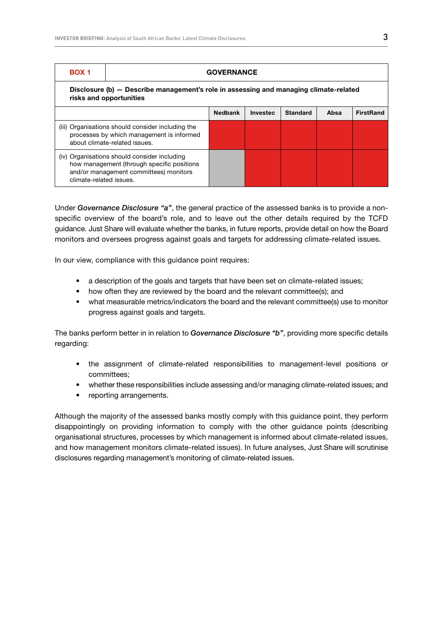| <b>BOX 1</b>            | <b>GOVERNANCE</b>                                                                                                                    |                |                 |                 |      |                  |  |
|-------------------------|--------------------------------------------------------------------------------------------------------------------------------------|----------------|-----------------|-----------------|------|------------------|--|
|                         | Disclosure (b) — Describe management's role in assessing and managing climate-related<br>risks and opportunities                     |                |                 |                 |      |                  |  |
|                         |                                                                                                                                      | <b>Nedbank</b> | <b>Investec</b> | <b>Standard</b> | Absa | <b>FirstRand</b> |  |
|                         | (iii) Organisations should consider including the<br>processes by which management is informed<br>about climate-related issues.      |                |                 |                 |      |                  |  |
| climate-related issues. | (iv) Organisations should consider including<br>how management (through specific positions<br>and/or management committees) monitors |                |                 |                 |      |                  |  |

Under *Governance Disclosure "a"*, the general practice of the assessed banks is to provide a nonspecific overview of the board's role, and to leave out the other details required by the TCFD guidance. Just Share will evaluate whether the banks, in future reports, provide detail on how the Board monitors and oversees progress against goals and targets for addressing climate-related issues.

In our view, compliance with this guidance point requires:

- a description of the goals and targets that have been set on climate-related issues;
- how often they are reviewed by the board and the relevant committee(s); and
- what measurable metrics/indicators the board and the relevant committee(s) use to monitor progress against goals and targets.

The banks perform better in in relation to *Governance Disclosure "b"*, providing more specific details regarding:

- the assignment of climate-related responsibilities to management-level positions or committees;
- whether these responsibilities include assessing and/or managing climate-related issues; and
- reporting arrangements.

Although the majority of the assessed banks mostly comply with this guidance point, they perform disappointingly on providing information to comply with the other guidance points (describing organisational structures, processes by which management is informed about climate-related issues, and how management monitors climate-related issues). In future analyses, Just Share will scrutinise disclosures regarding management's monitoring of climate-related issues.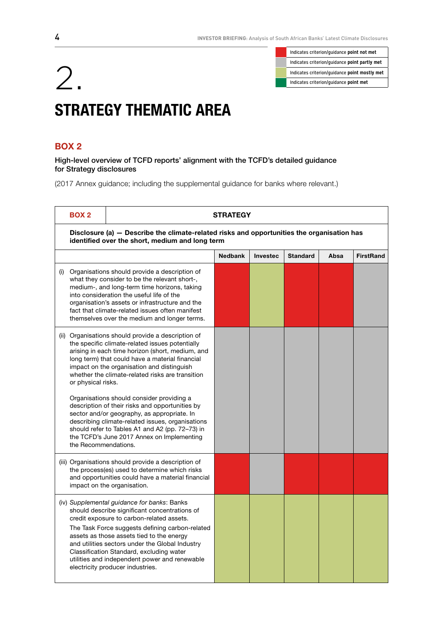Indicates criterion/guidance **point not met** Indicates criterion/guidance **point partly met**

# Indicates criterion/guidance point mostly met<br>Indicates criterion/guidance point met<br>Indicates criterion/guidance point met STRATEGY THEMATIC AREA

## BOX 2

High-level overview of TCFD reports' alignment with the TCFD's detailed guidance for Strategy disclosures

| <b>BOX 2</b>         |                                                                                                                                                                                                                                                                                                                                                                                                                                                                                                                   | <b>STRATEGY</b> |          |                 |      |                  |  |  |
|----------------------|-------------------------------------------------------------------------------------------------------------------------------------------------------------------------------------------------------------------------------------------------------------------------------------------------------------------------------------------------------------------------------------------------------------------------------------------------------------------------------------------------------------------|-----------------|----------|-----------------|------|------------------|--|--|
|                      | Disclosure (a) – Describe the climate-related risks and opportunities the organisation has<br>identified over the short, medium and long term                                                                                                                                                                                                                                                                                                                                                                     |                 |          |                 |      |                  |  |  |
|                      |                                                                                                                                                                                                                                                                                                                                                                                                                                                                                                                   | <b>Nedbank</b>  | Investec | <b>Standard</b> | Absa | <b>FirstRand</b> |  |  |
|                      | (i) Organisations should provide a description of<br>what they consider to be the relevant short-,<br>medium-, and long-term time horizons, taking<br>into consideration the useful life of the<br>organisation's assets or infrastructure and the<br>fact that climate-related issues often manifest<br>themselves over the medium and longer terms.                                                                                                                                                             |                 |          |                 |      |                  |  |  |
| or physical risks.   | (ii) Organisations should provide a description of<br>the specific climate-related issues potentially<br>arising in each time horizon (short, medium, and<br>long term) that could have a material financial<br>impact on the organisation and distinguish<br>whether the climate-related risks are transition<br>Organisations should consider providing a<br>description of their risks and opportunities by<br>sector and/or geography, as appropriate. In<br>describing climate-related issues, organisations |                 |          |                 |      |                  |  |  |
| the Recommendations. | should refer to Tables A1 and A2 (pp. 72–73) in<br>the TCFD's June 2017 Annex on Implementing                                                                                                                                                                                                                                                                                                                                                                                                                     |                 |          |                 |      |                  |  |  |
|                      | (iii) Organisations should provide a description of<br>the process(es) used to determine which risks<br>and opportunities could have a material financial<br>impact on the organisation.                                                                                                                                                                                                                                                                                                                          |                 |          |                 |      |                  |  |  |
|                      | (iv) Supplemental guidance for banks: Banks<br>should describe significant concentrations of<br>credit exposure to carbon-related assets.<br>The Task Force suggests defining carbon-related<br>assets as those assets tied to the energy<br>and utilities sectors under the Global Industry<br>Classification Standard, excluding water<br>utilities and independent power and renewable<br>electricity producer industries.                                                                                     |                 |          |                 |      |                  |  |  |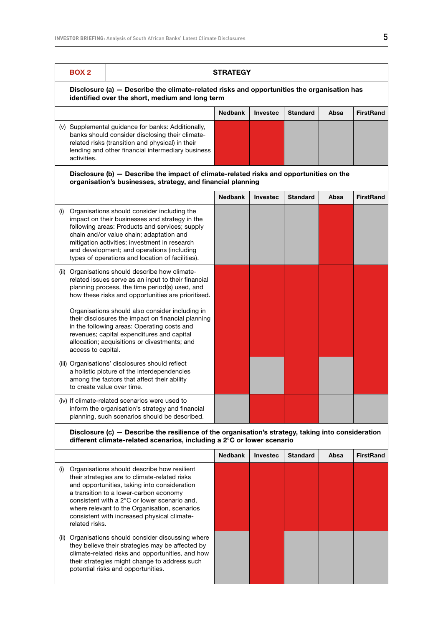climate-related risks and opportunities, and how their strategies might change to address such

potential risks and opportunities.

|     | <b>BOX 2</b>       |                                                                                                                                                                                                                                                                                                                                                | <b>STRATEGY</b> |                 |                 |      |                  |
|-----|--------------------|------------------------------------------------------------------------------------------------------------------------------------------------------------------------------------------------------------------------------------------------------------------------------------------------------------------------------------------------|-----------------|-----------------|-----------------|------|------------------|
|     |                    | Disclosure (a) - Describe the climate-related risks and opportunities the organisation has<br>identified over the short, medium and long term                                                                                                                                                                                                  |                 |                 |                 |      |                  |
|     |                    |                                                                                                                                                                                                                                                                                                                                                | <b>Nedbank</b>  | <b>Investec</b> | Standard        | Absa | <b>FirstRand</b> |
|     | activities.        | (v) Supplemental guidance for banks: Additionally,<br>banks should consider disclosing their climate-<br>related risks (transition and physical) in their<br>lending and other financial intermediary business                                                                                                                                 |                 |                 |                 |      |                  |
|     |                    | Disclosure (b) - Describe the impact of climate-related risks and opportunities on the<br>organisation's businesses, strategy, and financial planning                                                                                                                                                                                          |                 |                 |                 |      |                  |
|     |                    |                                                                                                                                                                                                                                                                                                                                                | <b>Nedbank</b>  | <b>Investec</b> | <b>Standard</b> | Absa | <b>FirstRand</b> |
| (i) |                    | Organisations should consider including the<br>impact on their businesses and strategy in the<br>following areas: Products and services; supply<br>chain and/or value chain; adaptation and<br>mitigation activities; investment in research<br>and development; and operations (including<br>types of operations and location of facilities). |                 |                 |                 |      |                  |
|     |                    | (ii) Organisations should describe how climate-<br>related issues serve as an input to their financial<br>planning process, the time period(s) used, and<br>how these risks and opportunities are prioritised.                                                                                                                                 |                 |                 |                 |      |                  |
|     | access to capital. | Organisations should also consider including in<br>their disclosures the impact on financial planning<br>in the following areas: Operating costs and<br>revenues; capital expenditures and capital<br>allocation; acquisitions or divestments; and                                                                                             |                 |                 |                 |      |                  |
|     |                    | (iii) Organisations' disclosures should reflect<br>a holistic picture of the interdependencies<br>among the factors that affect their ability<br>to create value over time.                                                                                                                                                                    |                 |                 |                 |      |                  |
|     |                    | (iv) If climate-related scenarios were used to<br>inform the organisation's strategy and financial<br>planning, such scenarios should be described.                                                                                                                                                                                            |                 |                 |                 |      |                  |
|     |                    | Disclosure (c) - Describe the resilience of the organisation's strategy, taking into consideration<br>different climate-related scenarios, including a 2°C or lower scenario                                                                                                                                                                   |                 |                 |                 |      |                  |
|     |                    |                                                                                                                                                                                                                                                                                                                                                | <b>Nedbank</b>  | Investec        | <b>Standard</b> | Absa | <b>FirstRand</b> |
| (i) | related risks.     | Organisations should describe how resilient<br>their strategies are to climate-related risks<br>and opportunities, taking into consideration<br>a transition to a lower-carbon economy<br>consistent with a 2°C or lower scenario and,<br>where relevant to the Organisation, scenarios<br>consistent with increased physical climate-         |                 |                 |                 |      |                  |
|     |                    | (ii) Organisations should consider discussing where<br>they believe their strategies may be affected by                                                                                                                                                                                                                                        |                 |                 |                 |      |                  |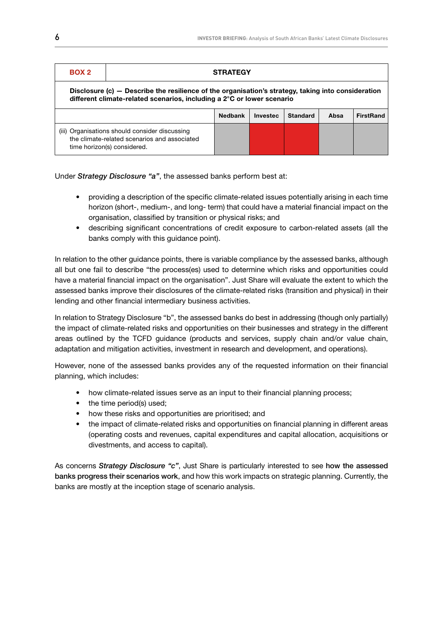| M.<br>۰. |  |
|----------|--|

## **STRATEGY**

Disclosure (c) — Describe the resilience of the organisation's strategy, taking into consideration different climate-related scenarios, including a 2°C or lower scenario

|                                                                                                                               | <b>Nedbank</b> | <b>Investec</b> | Standard | Absa | FirstRand |
|-------------------------------------------------------------------------------------------------------------------------------|----------------|-----------------|----------|------|-----------|
| (iii) Organisations should consider discussing<br>the climate-related scenarios and associated<br>time horizon(s) considered. |                |                 |          |      |           |

Under *Strategy Disclosure "a"*, the assessed banks perform best at:

- providing a description of the specific climate-related issues potentially arising in each time horizon (short-, medium-, and long- term) that could have a material financial impact on the organisation, classified by transition or physical risks; and
- describing significant concentrations of credit exposure to carbon-related assets (all the banks comply with this guidance point).

In relation to the other guidance points, there is variable compliance by the assessed banks, although all but one fail to describe "the process(es) used to determine which risks and opportunities could have a material financial impact on the organisation". Just Share will evaluate the extent to which the assessed banks improve their disclosures of the climate-related risks (transition and physical) in their lending and other financial intermediary business activities.

In relation to Strategy Disclosure "b", the assessed banks do best in addressing (though only partially) the impact of climate-related risks and opportunities on their businesses and strategy in the different areas outlined by the TCFD guidance (products and services, supply chain and/or value chain, adaptation and mitigation activities, investment in research and development, and operations).

However, none of the assessed banks provides any of the requested information on their financial planning, which includes:

- how climate-related issues serve as an input to their financial planning process;
- the time period(s) used;
- how these risks and opportunities are prioritised; and
- the impact of climate-related risks and opportunities on financial planning in different areas (operating costs and revenues, capital expenditures and capital allocation, acquisitions or divestments, and access to capital).

As concerns *Strategy Disclosure "c"*, Just Share is particularly interested to see how the assessed banks progress their scenarios work, and how this work impacts on strategic planning. Currently, the banks are mostly at the inception stage of scenario analysis.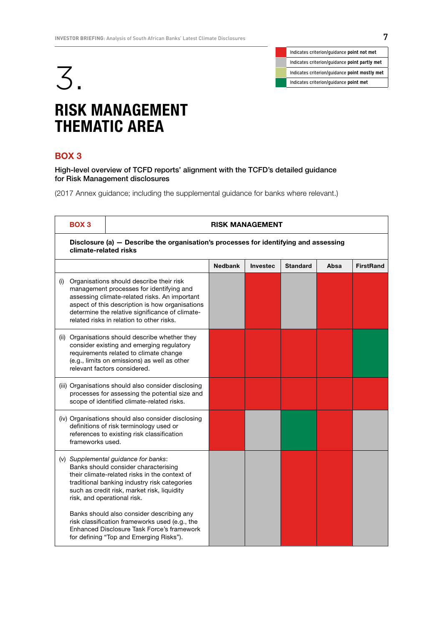



## RISK MANAGEMENT THEMATIC AREA

## BOX 3

High-level overview of TCFD reports' alignment with the TCFD's detailed guidance for Risk Management disclosures

|     | <b>BOX3</b>           | <b>RISK MANAGEMENT</b>                                                                                                                                                                                                                                                                   |                |          |                 |      |                  |  |  |
|-----|-----------------------|------------------------------------------------------------------------------------------------------------------------------------------------------------------------------------------------------------------------------------------------------------------------------------------|----------------|----------|-----------------|------|------------------|--|--|
|     | climate-related risks | Disclosure (a) - Describe the organisation's processes for identifying and assessing                                                                                                                                                                                                     |                |          |                 |      |                  |  |  |
|     |                       |                                                                                                                                                                                                                                                                                          | <b>Nedbank</b> | Investec | <b>Standard</b> | Absa | <b>FirstRand</b> |  |  |
| (i) |                       | Organisations should describe their risk<br>management processes for identifying and<br>assessing climate-related risks. An important<br>aspect of this description is how organisations<br>determine the relative significance of climate-<br>related risks in relation to other risks. |                |          |                 |      |                  |  |  |
|     |                       | (ii) Organisations should describe whether they<br>consider existing and emerging regulatory<br>requirements related to climate change<br>(e.g., limits on emissions) as well as other<br>relevant factors considered.                                                                   |                |          |                 |      |                  |  |  |
|     |                       | (iii) Organisations should also consider disclosing<br>processes for assessing the potential size and<br>scope of identified climate-related risks.                                                                                                                                      |                |          |                 |      |                  |  |  |
|     | frameworks used.      | (iv) Organisations should also consider disclosing<br>definitions of risk terminology used or<br>references to existing risk classification                                                                                                                                              |                |          |                 |      |                  |  |  |
|     |                       | (v) Supplemental guidance for banks:<br>Banks should consider characterising<br>their climate-related risks in the context of<br>traditional banking industry risk categories<br>such as credit risk, market risk, liquidity<br>risk, and operational risk.                              |                |          |                 |      |                  |  |  |
|     |                       | Banks should also consider describing any<br>risk classification frameworks used (e.g., the<br>Enhanced Disclosure Task Force's framework<br>for defining "Top and Emerging Risks").                                                                                                     |                |          |                 |      |                  |  |  |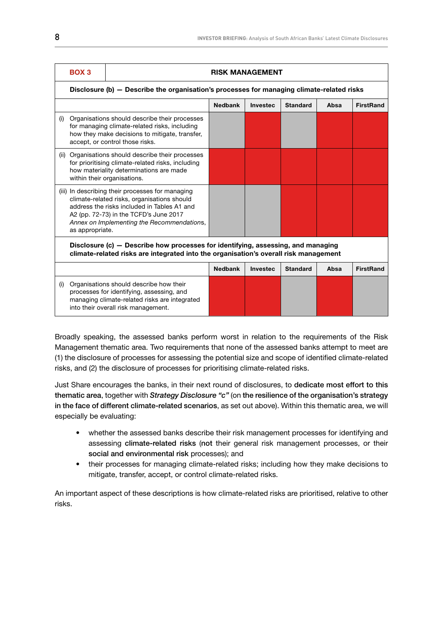|     | BOX <sub>3</sub>                                                                                                                                                                  |                                                                                                                                                                                                                                        |                | <b>RISK MANAGEMENT</b> |                 |      |                  |
|-----|-----------------------------------------------------------------------------------------------------------------------------------------------------------------------------------|----------------------------------------------------------------------------------------------------------------------------------------------------------------------------------------------------------------------------------------|----------------|------------------------|-----------------|------|------------------|
|     | Disclosure (b) - Describe the organisation's processes for managing climate-related risks                                                                                         |                                                                                                                                                                                                                                        |                |                        |                 |      |                  |
|     |                                                                                                                                                                                   |                                                                                                                                                                                                                                        | <b>Nedbank</b> | <b>Investec</b>        | <b>Standard</b> | Absa | <b>FirstRand</b> |
| (i) |                                                                                                                                                                                   | Organisations should describe their processes<br>for managing climate-related risks, including<br>how they make decisions to mitigate, transfer,<br>accept, or control those risks.                                                    |                |                        |                 |      |                  |
|     | (ii) Organisations should describe their processes<br>for prioritising climate-related risks, including<br>how materiality determinations are made<br>within their organisations. |                                                                                                                                                                                                                                        |                |                        |                 |      |                  |
|     | as appropriate.                                                                                                                                                                   | (iii) In describing their processes for managing<br>climate-related risks, organisations should<br>address the risks included in Tables A1 and<br>A2 (pp. 72-73) in the TCFD's June 2017<br>Annex on Implementing the Recommendations, |                |                        |                 |      |                  |
|     | Disclosure (c) – Describe how processes for identifying, assessing, and managing<br>climate-related risks are integrated into the organisation's overall risk management          |                                                                                                                                                                                                                                        |                |                        |                 |      |                  |
|     |                                                                                                                                                                                   |                                                                                                                                                                                                                                        | <b>Nedbank</b> | Investec               | <b>Standard</b> | Absa | <b>FirstRand</b> |
| (i) |                                                                                                                                                                                   | Organisations should describe how their<br>processes for identifying, assessing, and<br>managing climate-related risks are integrated<br>into their overall risk management.                                                           |                |                        |                 |      |                  |

Broadly speaking, the assessed banks perform worst in relation to the requirements of the Risk Management thematic area. Two requirements that none of the assessed banks attempt to meet are (1) the disclosure of processes for assessing the potential size and scope of identified climate-related risks, and (2) the disclosure of processes for prioritising climate-related risks.

Just Share encourages the banks, in their next round of disclosures, to dedicate most effort to this thematic area, together with *Strategy Disclosure "c"* (on the resilience of the organisation's strategy in the face of different climate-related scenarios, as set out above). Within this thematic area, we will especially be evaluating:

- whether the assessed banks describe their risk management processes for identifying and assessing climate-related risks (not their general risk management processes, or their social and environmental risk processes); and
- their processes for managing climate-related risks; including how they make decisions to mitigate, transfer, accept, or control climate-related risks.

An important aspect of these descriptions is how climate-related risks are prioritised, relative to other risks.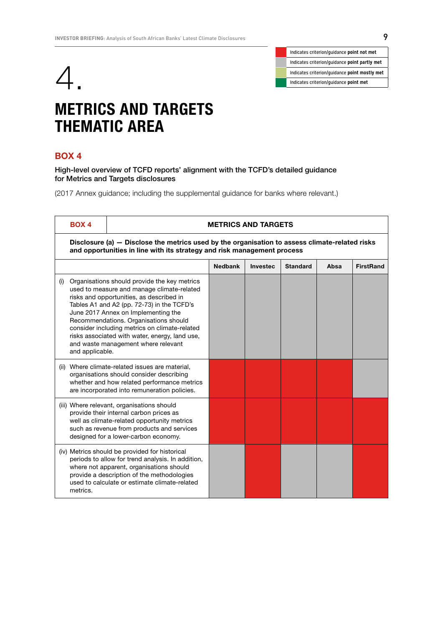



## METRICS AND TARGETS THEMATIC AREA

## BOX 4

High-level overview of TCFD reports' alignment with the TCFD's detailed guidance for Metrics and Targets disclosures

|     | <b>BOX 4</b>                                                                                                                                                              |                                                                                                                                                                                                                                                                                                                                                                                                                | <b>METRICS AND TARGETS</b> |                 |                 |      |                  |  |
|-----|---------------------------------------------------------------------------------------------------------------------------------------------------------------------------|----------------------------------------------------------------------------------------------------------------------------------------------------------------------------------------------------------------------------------------------------------------------------------------------------------------------------------------------------------------------------------------------------------------|----------------------------|-----------------|-----------------|------|------------------|--|
|     | Disclosure (a) – Disclose the metrics used by the organisation to assess climate-related risks<br>and opportunities in line with its strategy and risk management process |                                                                                                                                                                                                                                                                                                                                                                                                                |                            |                 |                 |      |                  |  |
|     |                                                                                                                                                                           |                                                                                                                                                                                                                                                                                                                                                                                                                | <b>Nedbank</b>             | <b>Investec</b> | <b>Standard</b> | Absa | <b>FirstRand</b> |  |
| (i) | and applicable.                                                                                                                                                           | Organisations should provide the key metrics<br>used to measure and manage climate-related<br>risks and opportunities, as described in<br>Tables A1 and A2 (pp. 72-73) in the TCFD's<br>June 2017 Annex on Implementing the<br>Recommendations. Organisations should<br>consider including metrics on climate-related<br>risks associated with water, energy, land use,<br>and waste management where relevant |                            |                 |                 |      |                  |  |
|     |                                                                                                                                                                           | (ii) Where climate-related issues are material,<br>organisations should consider describing<br>whether and how related performance metrics<br>are incorporated into remuneration policies.                                                                                                                                                                                                                     |                            |                 |                 |      |                  |  |
|     |                                                                                                                                                                           | (iii) Where relevant, organisations should<br>provide their internal carbon prices as<br>well as climate-related opportunity metrics<br>such as revenue from products and services<br>designed for a lower-carbon economy.                                                                                                                                                                                     |                            |                 |                 |      |                  |  |
|     | metrics.                                                                                                                                                                  | (iv) Metrics should be provided for historical<br>periods to allow for trend analysis. In addition,<br>where not apparent, organisations should<br>provide a description of the methodologies<br>used to calculate or estimate climate-related                                                                                                                                                                 |                            |                 |                 |      |                  |  |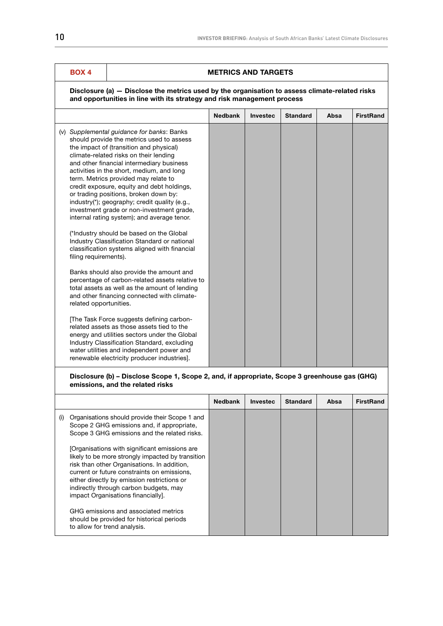## BOX 4 METRICS AND TARGETS

### Disclosure (a) — Disclose the metrics used by the organisation to assess climate-related risks and opportunities in line with its strategy and risk management process

| (v) Supplemental guidance for banks: Banks<br>should provide the metrics used to assess<br>the impact of (transition and physical)<br>climate-related risks on their lending<br>and other financial intermediary business<br>activities in the short, medium, and long<br>term. Metrics provided may relate to<br>credit exposure, equity and debt holdings,<br>or trading positions, broken down by:<br>industry(*); geography; credit quality (e.g.,<br>investment grade or non-investment grade,<br>internal rating system); and average tenor.<br>(*Industry should be based on the Global<br>Industry Classification Standard or national<br>classification systems aligned with financial<br>filing requirements).<br>Banks should also provide the amount and<br>percentage of carbon-related assets relative to<br>total assets as well as the amount of lending |                                             | <b>Nedbank</b> | Investec | <b>Standard</b> | Absa | <b>FirstRand</b> |
|--------------------------------------------------------------------------------------------------------------------------------------------------------------------------------------------------------------------------------------------------------------------------------------------------------------------------------------------------------------------------------------------------------------------------------------------------------------------------------------------------------------------------------------------------------------------------------------------------------------------------------------------------------------------------------------------------------------------------------------------------------------------------------------------------------------------------------------------------------------------------|---------------------------------------------|----------------|----------|-----------------|------|------------------|
| related opportunities.<br>The Task Force suggests defining carbon-<br>related assets as those assets tied to the<br>energy and utilities sectors under the Global<br>Industry Classification Standard, excluding                                                                                                                                                                                                                                                                                                                                                                                                                                                                                                                                                                                                                                                         | and other financing connected with climate- |                |          |                 |      |                  |

### Disclosure (b) – Disclose Scope 1, Scope 2, and, if appropriate, Scope 3 greenhouse gas (GHG) emissions, and the related risks

|                                                                                                                                                                                                                                                                                                                                | <b>Nedbank</b> | <b>Investec</b> | <b>Standard</b> | Absa | <b>FirstRand</b> |
|--------------------------------------------------------------------------------------------------------------------------------------------------------------------------------------------------------------------------------------------------------------------------------------------------------------------------------|----------------|-----------------|-----------------|------|------------------|
| Organisations should provide their Scope 1 and<br>(i)<br>Scope 2 GHG emissions and, if appropriate,<br>Scope 3 GHG emissions and the related risks.                                                                                                                                                                            |                |                 |                 |      |                  |
| [Organisations with significant emissions are<br>likely to be more strongly impacted by transition<br>risk than other Organisations. In addition,<br>current or future constraints on emissions.<br>either directly by emission restrictions or<br>indirectly through carbon budgets, may<br>impact Organisations financially. |                |                 |                 |      |                  |
| GHG emissions and associated metrics<br>should be provided for historical periods<br>to allow for trend analysis.                                                                                                                                                                                                              |                |                 |                 |      |                  |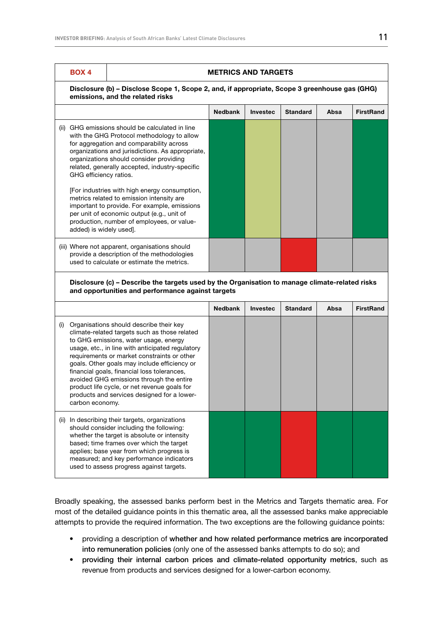|      | <b>BOX 4</b><br><b>METRICS AND TARGETS</b><br>Disclosure (b) - Disclose Scope 1, Scope 2, and, if appropriate, Scope 3 greenhouse gas (GHG)<br>emissions, and the related risks                                                                                                                                      |                                                                                                                                                                                                                                                                                                                                                                                                                                                                                |                |                 |                 |      |                  |
|------|----------------------------------------------------------------------------------------------------------------------------------------------------------------------------------------------------------------------------------------------------------------------------------------------------------------------|--------------------------------------------------------------------------------------------------------------------------------------------------------------------------------------------------------------------------------------------------------------------------------------------------------------------------------------------------------------------------------------------------------------------------------------------------------------------------------|----------------|-----------------|-----------------|------|------------------|
|      |                                                                                                                                                                                                                                                                                                                      |                                                                                                                                                                                                                                                                                                                                                                                                                                                                                |                |                 |                 |      |                  |
|      |                                                                                                                                                                                                                                                                                                                      |                                                                                                                                                                                                                                                                                                                                                                                                                                                                                | <b>Nedbank</b> | <b>Investec</b> | <b>Standard</b> | Absa | <b>FirstRand</b> |
|      | (ii) GHG emissions should be calculated in line<br>with the GHG Protocol methodology to allow<br>for aggregation and comparability across<br>organizations and jurisdictions. As appropriate,<br>organizations should consider providing<br>related, generally accepted, industry-specific<br>GHG efficiency ratios. |                                                                                                                                                                                                                                                                                                                                                                                                                                                                                |                |                 |                 |      |                  |
|      | [For industries with high energy consumption,<br>metrics related to emission intensity are<br>important to provide. For example, emissions<br>per unit of economic output (e.g., unit of<br>production, number of employees, or value-<br>added) is widely used].                                                    |                                                                                                                                                                                                                                                                                                                                                                                                                                                                                |                |                 |                 |      |                  |
|      |                                                                                                                                                                                                                                                                                                                      | (iii) Where not apparent, organisations should<br>provide a description of the methodologies<br>used to calculate or estimate the metrics.                                                                                                                                                                                                                                                                                                                                     |                |                 |                 |      |                  |
|      | Disclosure (c) - Describe the targets used by the Organisation to manage climate-related risks<br>and opportunities and performance against targets                                                                                                                                                                  |                                                                                                                                                                                                                                                                                                                                                                                                                                                                                |                |                 |                 |      |                  |
|      |                                                                                                                                                                                                                                                                                                                      |                                                                                                                                                                                                                                                                                                                                                                                                                                                                                | <b>Nedbank</b> | <b>Investec</b> | <b>Standard</b> | Absa | <b>FirstRand</b> |
| (i)  | carbon economy.                                                                                                                                                                                                                                                                                                      | Organisations should describe their key<br>climate-related targets such as those related<br>to GHG emissions, water usage, energy<br>usage, etc., in line with anticipated regulatory<br>requirements or market constraints or other<br>goals. Other goals may include efficiency or<br>financial goals, financial loss tolerances,<br>avoided GHG emissions through the entire<br>product life cycle, or net revenue goals for<br>products and services designed for a lower- |                |                 |                 |      |                  |
| (ii) |                                                                                                                                                                                                                                                                                                                      | In describing their targets, organizations<br>should consider including the following:<br>whether the target is absolute or intensity<br>based; time frames over which the target<br>applies; base year from which progress is<br>measured; and key performance indicators<br>used to assess progress against targets.                                                                                                                                                         |                |                 |                 |      |                  |

Broadly speaking, the assessed banks perform best in the Metrics and Targets thematic area. For most of the detailed guidance points in this thematic area, all the assessed banks make appreciable attempts to provide the required information. The two exceptions are the following guidance points:

- providing a description of whether and how related performance metrics are incorporated into remuneration policies (only one of the assessed banks attempts to do so); and
- providing their internal carbon prices and climate-related opportunity metrics, such as revenue from products and services designed for a lower-carbon economy.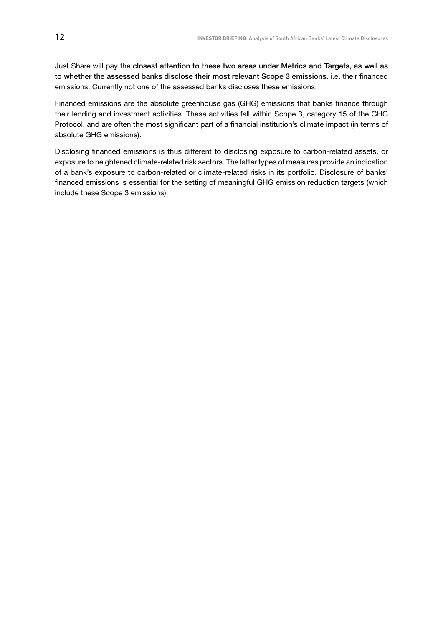Just Share will pay the closest attention to these two areas under Metrics and Targets, as well as to whether the assessed banks disclose their most relevant Scope 3 emissions. i.e. their financed emissions. Currently not one of the assessed banks discloses these emissions.

Financed emissions are the absolute greenhouse gas (GHG) emissions that banks finance through their lending and investment activities. These activities fall within Scope 3, category 15 of the GHG Protocol, and are often the most significant part of a financial institution's climate impact (in terms of absolute GHG emissions).

Disclosing financed emissions is thus different to disclosing exposure to carbon-related assets, or exposure to heightened climate-related risk sectors. The latter types of measures provide an indication of a bank's exposure to carbon-related or climate-related risks in its portfolio. Disclosure of banks' financed emissions is essential for the setting of meaningful GHG emission reduction targets (which include these Scope 3 emissions).